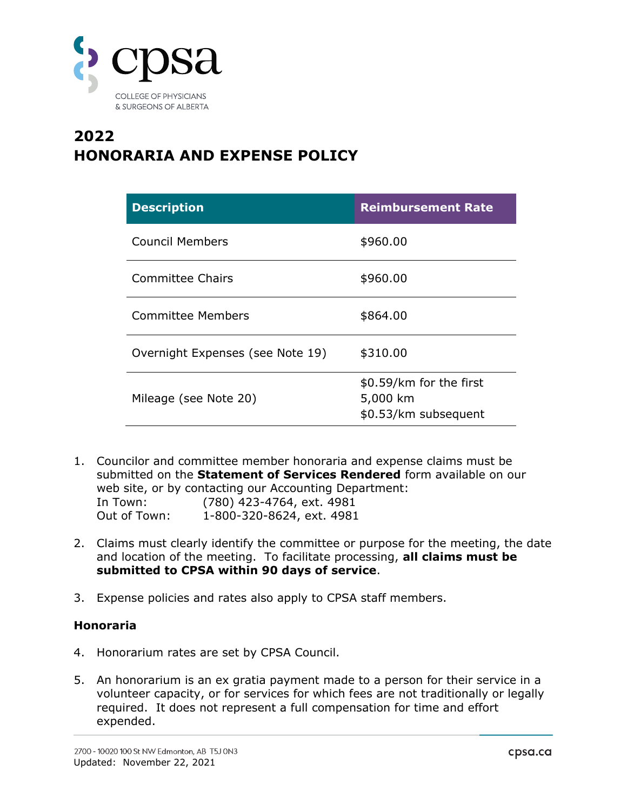

## **2022 HONORARIA AND EXPENSE POLICY**

| <b>Description</b>               | <b>Reimbursement Rate</b>                                   |
|----------------------------------|-------------------------------------------------------------|
| Council Members                  | \$960.00                                                    |
| Committee Chairs                 | \$960.00                                                    |
| <b>Committee Members</b>         | \$864.00                                                    |
| Overnight Expenses (see Note 19) | \$310.00                                                    |
| Mileage (see Note 20)            | \$0.59/km for the first<br>5,000 km<br>\$0.53/km subsequent |

- 1. Councilor and committee member honoraria and expense claims must be submitted on the **[Statement of Services Rendered](file://///cps-filesev/Data/Dept/Shared/College%20Toolbox/Forms%20&%20Templates/Business%20Forms/Statement%20of%20Services%20Rendered.pdf)** form available on our web site, or by contacting our Accounting Department: In Town: (780) 423-4764, ext. 4981 Out of Town: 1-800-320-8624, ext. 4981
- 2. Claims must clearly identify the committee or purpose for the meeting, the date and location of the meeting. To facilitate processing, **all claims must be submitted to CPSA within 90 days of service**.
- 3. Expense policies and rates also apply to CPSA staff members.

## **Honoraria**

- 4. Honorarium rates are set by CPSA Council.
- 5. An honorarium is an ex gratia payment made to a person for their service in a volunteer capacity, or for services for which fees are not traditionally or legally required. It does not represent a full compensation for time and effort expended.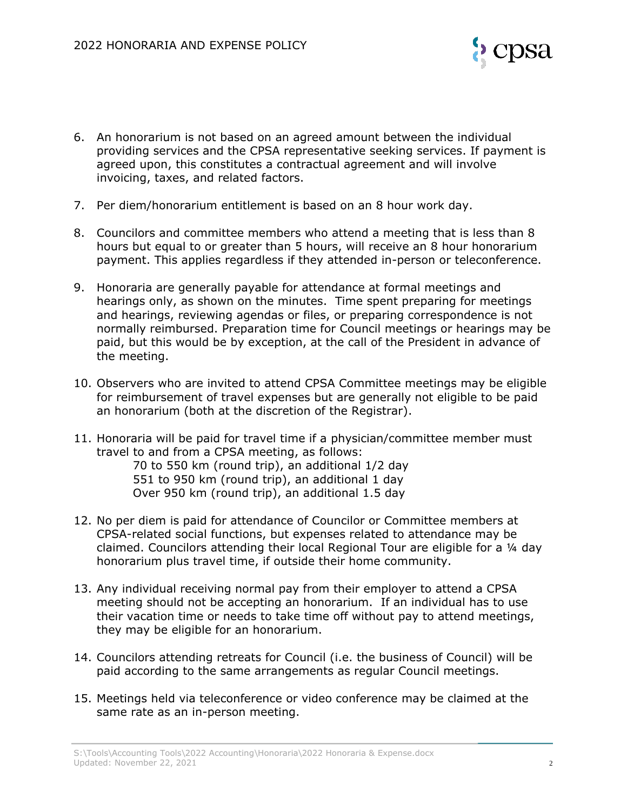

- 6. An honorarium is not based on an agreed amount between the individual providing services and the CPSA representative seeking services. If payment is agreed upon, this constitutes a contractual agreement and will involve invoicing, taxes, and related factors.
- 7. Per diem/honorarium entitlement is based on an 8 hour work day.
- 8. Councilors and committee members who attend a meeting that is less than 8 hours but equal to or greater than 5 hours, will receive an 8 hour honorarium payment. This applies regardless if they attended in-person or teleconference.
- 9. Honoraria are generally payable for attendance at formal meetings and hearings only, as shown on the minutes. Time spent preparing for meetings and hearings, reviewing agendas or files, or preparing correspondence is not normally reimbursed. Preparation time for Council meetings or hearings may be paid, but this would be by exception, at the call of the President in advance of the meeting.
- 10. Observers who are invited to attend CPSA Committee meetings may be eligible for reimbursement of travel expenses but are generally not eligible to be paid an honorarium (both at the discretion of the Registrar).
- 11. Honoraria will be paid for travel time if a physician/committee member must travel to and from a CPSA meeting, as follows: 70 to 550 km (round trip), an additional 1/2 day 551 to 950 km (round trip), an additional 1 day Over 950 km (round trip), an additional 1.5 day
- 12. No per diem is paid for attendance of Councilor or Committee members at CPSA-related social functions, but expenses related to attendance may be claimed. Councilors attending their local Regional Tour are eligible for a ¼ day honorarium plus travel time, if outside their home community.
- 13. Any individual receiving normal pay from their employer to attend a CPSA meeting should not be accepting an honorarium. If an individual has to use their vacation time or needs to take time off without pay to attend meetings, they may be eligible for an honorarium.
- 14. Councilors attending retreats for Council (i.e. the business of Council) will be paid according to the same arrangements as regular Council meetings.
- 15. Meetings held via teleconference or video conference may be claimed at the same rate as an in-person meeting.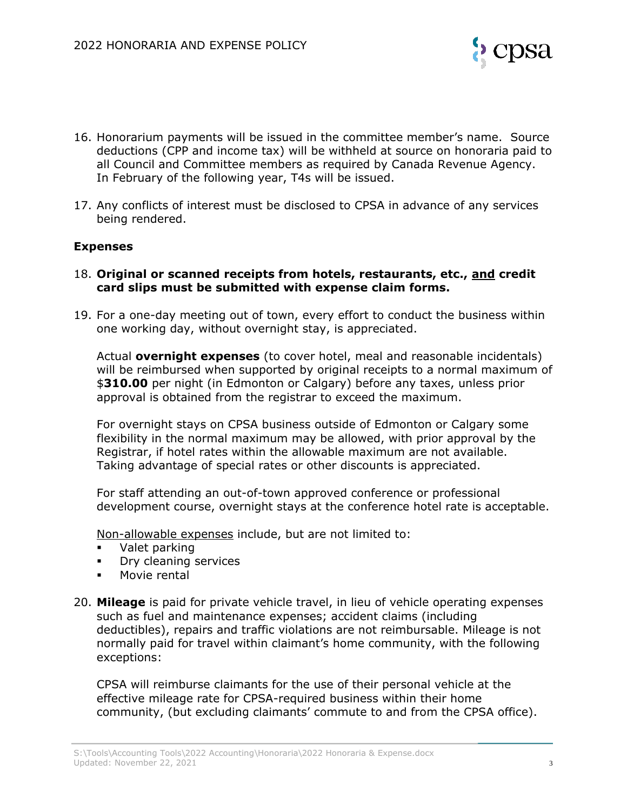

- 16. Honorarium payments will be issued in the committee member's name. Source deductions (CPP and income tax) will be withheld at source on honoraria paid to all Council and Committee members as required by Canada Revenue Agency. In February of the following year, T4s will be issued.
- 17. Any conflicts of interest must be disclosed to CPSA in advance of any services being rendered.

## **Expenses**

- 18. **Original or scanned receipts from hotels, restaurants, etc., and credit card slips must be submitted with expense claim forms.**
- 19. For a one-day meeting out of town, every effort to conduct the business within one working day, without overnight stay, is appreciated.

Actual **overnight expenses** (to cover hotel, meal and reasonable incidentals) will be reimbursed when supported by original receipts to a normal maximum of \$**310.00** per night (in Edmonton or Calgary) before any taxes, unless prior approval is obtained from the registrar to exceed the maximum.

For overnight stays on CPSA business outside of Edmonton or Calgary some flexibility in the normal maximum may be allowed, with prior approval by the Registrar, if hotel rates within the allowable maximum are not available. Taking advantage of special rates or other discounts is appreciated.

For staff attending an out-of-town approved conference or professional development course, overnight stays at the conference hotel rate is acceptable.

Non-allowable expenses include, but are not limited to:

- Valet parking
- **Dry cleaning services**
- Movie rental
- 20. **Mileage** is paid for private vehicle travel, in lieu of vehicle operating expenses such as fuel and maintenance expenses; accident claims (including deductibles), repairs and traffic violations are not reimbursable. Mileage is not normally paid for travel within claimant's home community, with the following exceptions:

CPSA will reimburse claimants for the use of their personal vehicle at the effective mileage rate for CPSA-required business within their home community, (but excluding claimants' commute to and from the CPSA office).